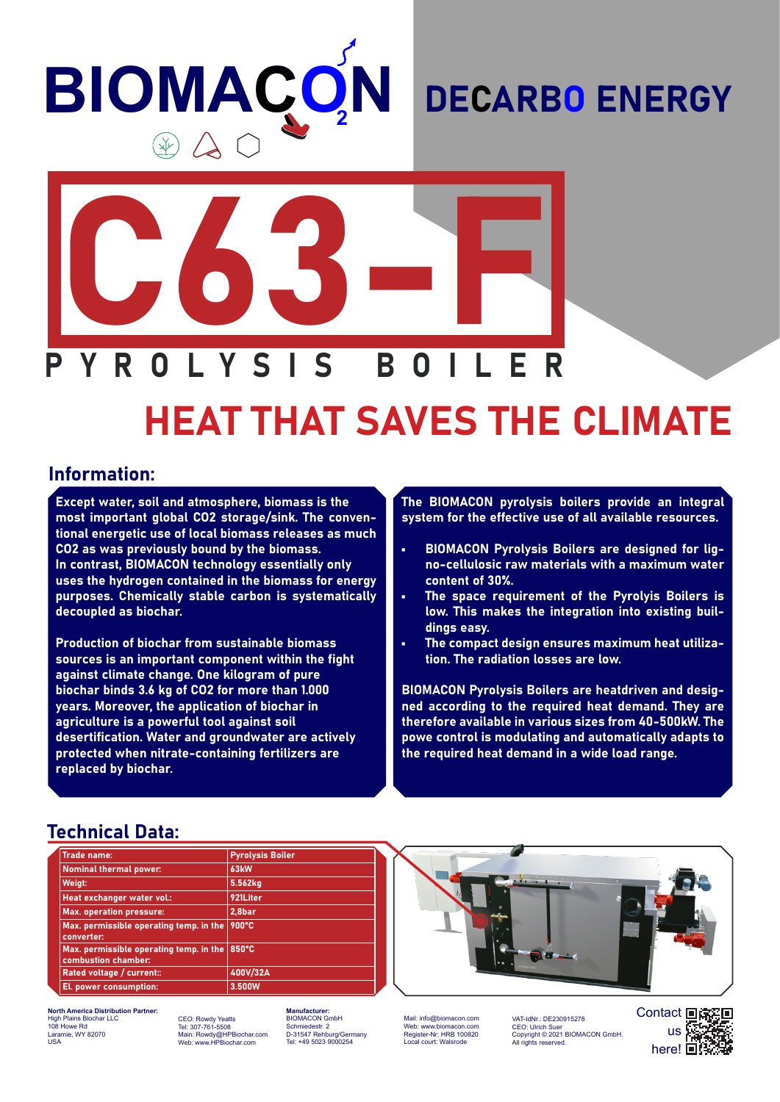# **BIOMAÇO N**

# DECARBO ENERGY



# HEAT THAT SAVES THE CLIMATE

#### Information:

Except water, soil and atmosphere, biomass is the most important global CO2 storage/sink. The conventional energetic use of local biomass releases as much CO2 as was previously bound by the biomass. In contrast, BIOMACON technology essentially only uses the hydrogen contained in the biomass for energy purposes. Chemically stable carbon is systematically decoupled as biochar.

Production of biochar from sustainable biomass sources is an important component within the fight against climate change. One kilogram of pure biochar binds 3.6 kg of CO2 for more than 1.000 years. Moreover, the application of biochar in agriculture is a powerful tool against soil desertification. Water and groundwater are actively protected when nitrate-containing fertilizers are replaced by biochar.

The BIOMACON pyrolysis boilers provide an integral system for the effective use of all available resources.

- BIOMACON Pyrolysis Boilers are designed for ligno-cellulosic raw materials with a maximum water content of 30%.
- The space requirement of the Pyrolyis Boilers is low. This makes the integration into existing buildings easy.
- The compact design ensures maximum heat utilization. The radiation losses are low.

BIOMACON Pyrolysis Boilers are heatdriven and designed according to the required heat demand. They are therefore available in various sizes from 40-500kW. The powe control is modulating and automatically adapts to the required heat demand in a wide load range.

#### Technical Data:

| <b>Trade name:</b>                                             | <b>Pyrolysis Boiler</b> |  |  |
|----------------------------------------------------------------|-------------------------|--|--|
| <b>Nominal thermal power:</b>                                  | 63 <sub>kW</sub>        |  |  |
| Weigt:                                                         | 5.562kg                 |  |  |
| Heat exchanger water vol.:                                     | 921Liter                |  |  |
| <b>Max. operation pressure:</b>                                | 2,8bar                  |  |  |
| Max. permissible operating temp. in the<br>converter:          | 900°C                   |  |  |
| Max. permissible operating temp. in the<br>combustion chamber: | 850°C                   |  |  |
| Rated voltage / current::                                      | 400V/32A                |  |  |
| El. power consumption:                                         | 3.500W                  |  |  |



**North America Distribution Partner:** High Plains Biochar LLC 108 Howe Rd Laramie, WY 82070 USA

CEO: Rowdy Yeatts Tel: 307-761-5508 Main: Rowdy@HPBiochar.com Web: www.HPBiochar.com

**Manufacturer:** BIOMACON GmbH Schmiedestr. 2 D-31547 Rehburg/Germany Tel: +49 5023 9000254

Mail: info@biomacon.com Web: www.biomacon.com Register-Nr: HRB 100820 Local court: Wals

VAT-IdNr.: DE230915278<br>CEO: Ulrich Suer CEO: Ulrich Suer Copyright © 2021 BIOMACON GmbH. All rights reserved.